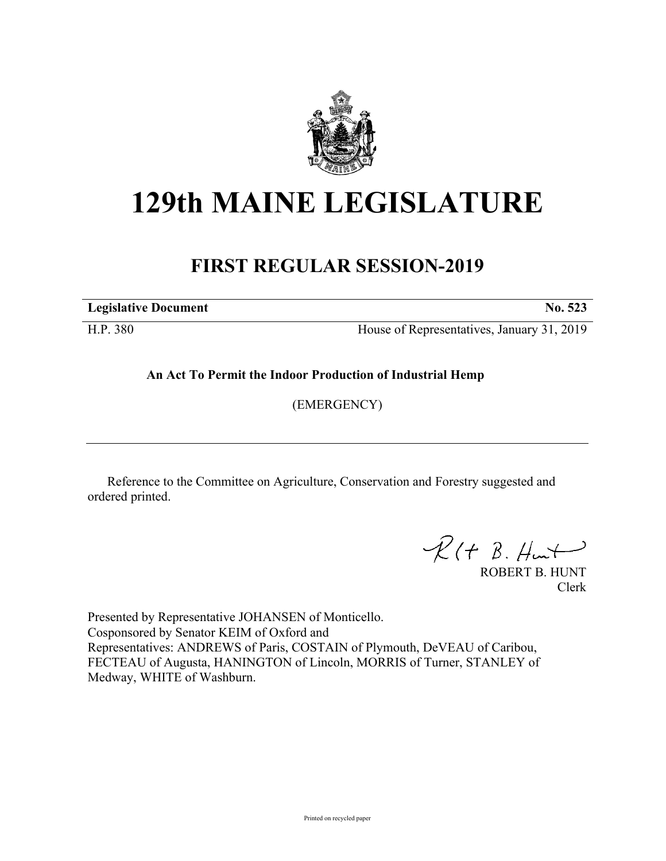

## **129th MAINE LEGISLATURE**

## **FIRST REGULAR SESSION-2019**

**Legislative Document No. 523**

H.P. 380 House of Representatives, January 31, 2019

**An Act To Permit the Indoor Production of Industrial Hemp**

(EMERGENCY)

Reference to the Committee on Agriculture, Conservation and Forestry suggested and ordered printed.

 $R(H B. H<sub>un</sub>+)$ 

ROBERT B. HUNT Clerk

Presented by Representative JOHANSEN of Monticello. Cosponsored by Senator KEIM of Oxford and Representatives: ANDREWS of Paris, COSTAIN of Plymouth, DeVEAU of Caribou, FECTEAU of Augusta, HANINGTON of Lincoln, MORRIS of Turner, STANLEY of Medway, WHITE of Washburn.